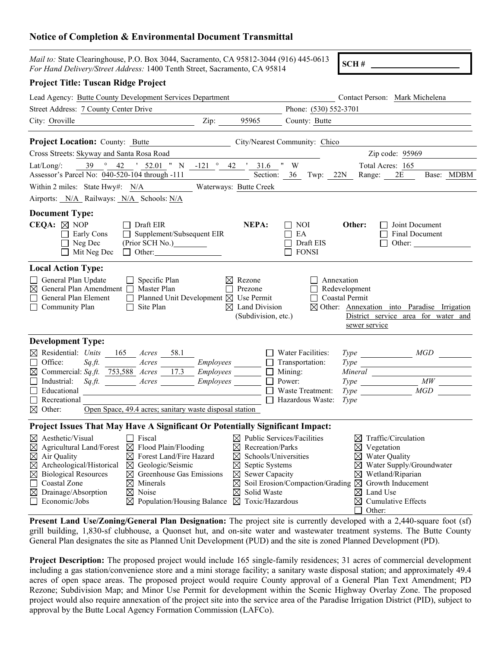## **Notice of Completion & Environmental Document Transmittal**

| Mail to: State Clearinghouse, P.O. Box 3044, Sacramento, CA 95812-3044 (916) 445-0613<br>For Hand Delivery/Street Address: 1400 Tenth Street, Sacramento, CA 95814                                                                                                                                                                                                                                                                                                   |                  |                                                                                                                                                                                                                                          |                                                                                                          | SCH#                                                                                                                                                                                                   |
|----------------------------------------------------------------------------------------------------------------------------------------------------------------------------------------------------------------------------------------------------------------------------------------------------------------------------------------------------------------------------------------------------------------------------------------------------------------------|------------------|------------------------------------------------------------------------------------------------------------------------------------------------------------------------------------------------------------------------------------------|----------------------------------------------------------------------------------------------------------|--------------------------------------------------------------------------------------------------------------------------------------------------------------------------------------------------------|
| <b>Project Title: Tuscan Ridge Project</b>                                                                                                                                                                                                                                                                                                                                                                                                                           |                  |                                                                                                                                                                                                                                          |                                                                                                          |                                                                                                                                                                                                        |
| Lead Agency: Butte County Development Services Department                                                                                                                                                                                                                                                                                                                                                                                                            |                  |                                                                                                                                                                                                                                          |                                                                                                          | Contact Person: Mark Michelena                                                                                                                                                                         |
| Street Address: 7 County Center Drive                                                                                                                                                                                                                                                                                                                                                                                                                                |                  |                                                                                                                                                                                                                                          | Phone: (530) 552-3701                                                                                    |                                                                                                                                                                                                        |
| $\mathbf{Zip:}$<br>City: Oroville                                                                                                                                                                                                                                                                                                                                                                                                                                    |                  | 95965                                                                                                                                                                                                                                    | County: Butte                                                                                            |                                                                                                                                                                                                        |
| <b>Project Location:</b> County: Butte                                                                                                                                                                                                                                                                                                                                                                                                                               |                  |                                                                                                                                                                                                                                          | City/Nearest Community: Chico                                                                            |                                                                                                                                                                                                        |
| Cross Streets: Skyway and Santa Rosa Road                                                                                                                                                                                                                                                                                                                                                                                                                            |                  |                                                                                                                                                                                                                                          |                                                                                                          | Zip code: 95969                                                                                                                                                                                        |
| $\frac{39}{9}$ $\frac{0}{42}$ $\frac{42}{152.01}$ " N $\frac{-121}{9}$ $\frac{0}{42}$ $\frac{131.6}{31.6}$ " W<br>$Lat/Long/$ :<br>Assessor's Parcel No: 040-520-104 through -111 Section: 36 Twp: 22N Range: 2E                                                                                                                                                                                                                                                     |                  |                                                                                                                                                                                                                                          |                                                                                                          | Total Acres: 165<br>Base: MDBM                                                                                                                                                                         |
| Within 2 miles: State Hwy#: N/A                                                                                                                                                                                                                                                                                                                                                                                                                                      |                  | Waterways: Butte Creek                                                                                                                                                                                                                   |                                                                                                          |                                                                                                                                                                                                        |
| Airports: N/A Railways: N/A Schools: N/A                                                                                                                                                                                                                                                                                                                                                                                                                             |                  |                                                                                                                                                                                                                                          |                                                                                                          |                                                                                                                                                                                                        |
| <b>Document Type:</b><br>CEQA: $\boxtimes$ NOP<br>$\Box$ Draft EIR<br>Supplement/Subsequent EIR<br>Early Cons<br>$\Box$ Neg Dec<br>(Prior SCH No.)___________<br>$\Box$ Mit Neg Dec<br>$\Box$ Other:                                                                                                                                                                                                                                                                 |                  | NEPA:                                                                                                                                                                                                                                    | l I NOI<br>EA<br>$\mathsf{L}$<br>Draft EIS<br><b>FONSI</b>                                               | Other:<br>Joint Document<br><b>Final Document</b><br>Other:<br>$\perp$                                                                                                                                 |
| <b>Local Action Type:</b><br>General Plan Update<br>$\Box$ Specific Plan<br>$\boxtimes$ General Plan Amendment $\Box$ Master Plan<br>General Plan Element<br>$\Box$ Planned Unit Development $\boxtimes$ Use Permit<br>Community Plan<br>Site Plan<br>$\perp$                                                                                                                                                                                                        |                  | $\boxtimes$ Rezone<br>Prezone<br>$\boxtimes$ Land Division<br>(Subdivision, etc.)                                                                                                                                                        |                                                                                                          | Annexation<br>Redevelopment<br><b>Coastal Permit</b><br>$\boxtimes$ Other: Annexation into Paradise Irrigation<br>District service area for water and<br>sewer service                                 |
| <b>Development Type:</b>                                                                                                                                                                                                                                                                                                                                                                                                                                             |                  |                                                                                                                                                                                                                                          |                                                                                                          |                                                                                                                                                                                                        |
| $\boxtimes$ Residential: Units<br>165 <i>Acres</i> 58.1<br>Office:<br>Acres<br>$Sq.ft$ .<br>$\boxtimes$ Commercial: Sq.ft. 753,588 Acres 17.3 Employees<br>Industrial:<br>Educational<br>Recreational<br>Open Space, 49.4 acres; sanitary waste disposal station<br>$\boxtimes$ Other:                                                                                                                                                                               | <b>Employees</b> | $\perp$                                                                                                                                                                                                                                  | Water Facilities:<br>Transportation:<br>Mining:<br>Power:<br><b>Waste Treatment:</b><br>Hazardous Waste: | $Type \_\_$<br>$Type$ $MW$<br>MGD<br>Type<br>Type                                                                                                                                                      |
| Project Issues That May Have A Significant Or Potentially Significant Impact:                                                                                                                                                                                                                                                                                                                                                                                        |                  |                                                                                                                                                                                                                                          |                                                                                                          |                                                                                                                                                                                                        |
| $\boxtimes$ Aesthetic/Visual<br>$\Box$ Fiscal<br>Flood Plain/Flooding<br>⊠<br>Agricultural Land/Forest<br>⊠<br>Air Quality<br>Forest Land/Fire Hazard<br>⊠<br>$\boxtimes$<br>Archeological/Historical<br>⊠<br>$\boxtimes$ Geologic/Seismic<br>Greenhouse Gas Emissions<br><b>Biological Resources</b><br>⊠<br>⊠<br>Coastal Zone<br>Minerals<br>$\boxtimes$<br>Drainage/Absorption<br>⊠<br>Noise<br>⊠<br>Economic/Jobs<br>Population/Housing Balance $\boxtimes$<br>⊠ |                  | $\boxtimes$ Public Services/Facilities<br>X<br>Recreation/Parks<br>Schools/Universities<br>$\boxtimes$<br>Septic Systems<br>$\boxtimes$<br>Sewer Capacity<br>$\boxtimes$<br>$\boxtimes$<br>Solid Waste<br>$\boxtimes$<br>Toxic/Hazardous | Soil Erosion/Compaction/Grading $\boxtimes$                                                              | Traffic/Circulation<br>⊠<br>⊠<br>Vegetation<br>Water Quality<br>⊠<br>Water Supply/Groundwater<br>⊠<br>Wetland/Riparian<br>⊠<br>Growth Inducement<br>Land Use<br>⊠<br>Cumulative Effects<br>⊠<br>Other: |

**Present Land Use/Zoning/General Plan Designation:** The project site is currently developed with a 2,440-square foot (sf) grill building, 1,830-sf clubhouse, a Quonset hut, and on-site water and wastewater treatment systems. The Butte County General Plan designates the site as Planned Unit Development (PUD) and the site is zoned Planned Development (PD).

**Project Description:** The proposed project would include 165 single-family residences; 31 acres of commercial development including a gas station/convenience store and a mini storage facility; a sanitary waste disposal station; and approximately 49.4 acres of open space areas. The proposed project would require County approval of a General Plan Text Amendment; PD Rezone; Subdivision Map; and Minor Use Permit for development within the Scenic Highway Overlay Zone. The proposed project would also require annexation of the project site into the service area of the Paradise Irrigation District (PID), subject to approval by the Butte Local Agency Formation Commission (LAFCo).